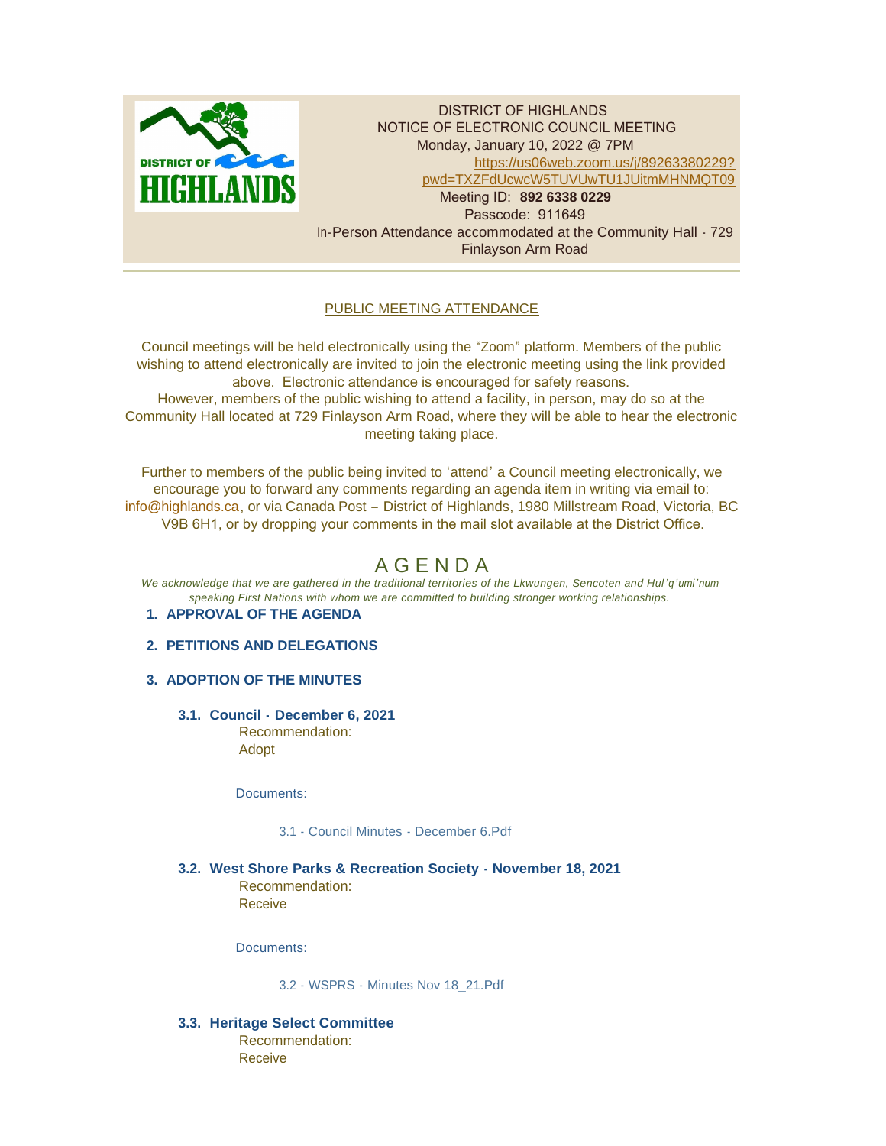

DISTRICT OF HIGHLANDS NOTICE OF ELECTRONIC COUNCIL MEETING Monday, January 10, 2022 @ 7PM [https://us06web.zoom.us/j/89263380229?](https://us06web.zoom.us/j/89263380229?pwd=TXZFdUcwcW5TUVUwTU1JUitmMHNMQT09) pwd=TXZFdUcwcW5TUVUwTU1JUitmMHNMQT09 Meeting ID: **892 6338 0229** Passcode: 911649 In-Person Attendance accommodated at the Community Hall - 729 Finlayson Arm Road

# PUBLIC MEETING ATTENDANCE

Council meetings will be held electronically using the "Zoom" platform. Members of the public wishing to attend electronically are invited to join the electronic meeting using the link provided above. Electronic attendance is encouraged for safety reasons. However, members of the public wishing to attend a facility, in person, may do so at the Community Hall located at 729 Finlayson Arm Road, where they will be able to hear the electronic meeting taking place.

Further to members of the public being invited to 'attend' a Council meeting electronically, we [encourage you to f](mailto:info@highlands.ca)orward any comments regarding an agenda item in writing via email to: info@highlands.ca, or via Canada Post – District of Highlands, 1980 Millstream Road, Victoria, BC V9B 6H1, or by dropping your comments in the mail slot available at the District Office.

# A G E N D A

*We acknowledge that we are gathered in the traditional territories of the Lkwungen, Sencoten and Hul 'q'umi'num speaking First Nations with whom we are committed to building stronger working relationships.*

# **APPROVAL OF THE AGENDA 1.**

# **PETITIONS AND DELEGATIONS 2.**

# **ADOPTION OF THE MINUTES 3.**

**Council - December 6, 2021 3.1.** Recommendation: Adopt

Documents:

3.1 - [Council Minutes -](https://www.highlands.ca/AgendaCenter/ViewFile/Item/6851?fileID=6614) December 6.Pdf

# **West Shore Parks & Recreation Society - November 18, 2021 3.2.**

Recommendation: Receive

Documents:

[3.2 - WSPRS - Minutes Nov 18\\_21.Pdf](https://www.highlands.ca/AgendaCenter/ViewFile/Item/6852?fileID=6615)

**Heritage Select Committee 3.3.** Recommendation: Receive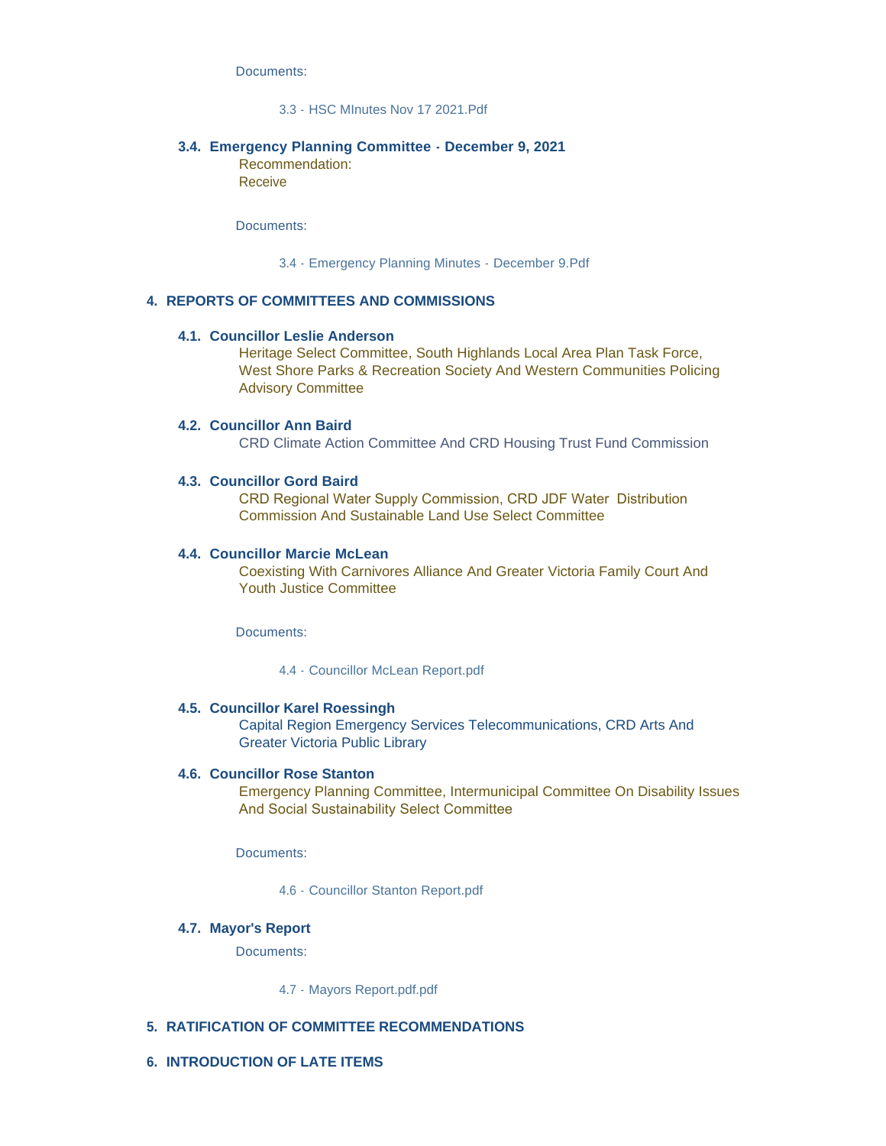Documents:

### [3.3 - HSC MInutes Nov 17 2021.Pdf](https://www.highlands.ca/AgendaCenter/ViewFile/Item/6853?fileID=6616)

#### **Emergency Planning Committee - December 9, 2021 3.4.**

Recommendation: Receive

Documents:

[3.4 - Emergency Planning Minutes - December 9.Pdf](https://www.highlands.ca/AgendaCenter/ViewFile/Item/6854?fileID=6617)

### **REPORTS OF COMMITTEES AND COMMISSIONS 4.**

#### **Councillor Leslie Anderson 4.1.**

Heritage Select Committee, South Highlands Local Area Plan Task Force, West Shore Parks & Recreation Society And Western Communities Policing Advisory Committee

#### **Councillor Ann Baird 4.2.**

CRD Climate Action Committee And CRD Housing Trust Fund Commission

#### **Councillor Gord Baird 4.3.**

CRD Regional Water Supply Commission, CRD JDF Water Distribution Commission And Sustainable Land Use Select Committee

#### **Councillor Marcie McLean 4.4.**

Coexisting With Carnivores Alliance And Greater Victoria Family Court And Youth Justice Committee

Documents:

[4.4 - Councillor McLean Report.pdf](https://www.highlands.ca/AgendaCenter/ViewFile/Item/6838?fileID=6613)

#### **Councillor Karel Roessingh 4.5.**

Capital Region Emergency Services Telecommunications, CRD Arts And Greater Victoria Public Library

#### **4.6. Councillor Rose Stanton**

Emergency Planning Committee, Intermunicipal Committee On Disability Issues And Social Sustainability Select Committee

Documents:

[4.6 - Councillor Stanton Report.pdf](https://www.highlands.ca/AgendaCenter/ViewFile/Item/6840?fileID=6612)

#### **Mayor's Report 4.7.**

Documents:

[4.7 - Mayors Report.pdf.pdf](https://www.highlands.ca/AgendaCenter/ViewFile/Item/6841?fileID=6622)

#### **RATIFICATION OF COMMITTEE RECOMMENDATIONS 5.**

**INTRODUCTION OF LATE ITEMS 6.**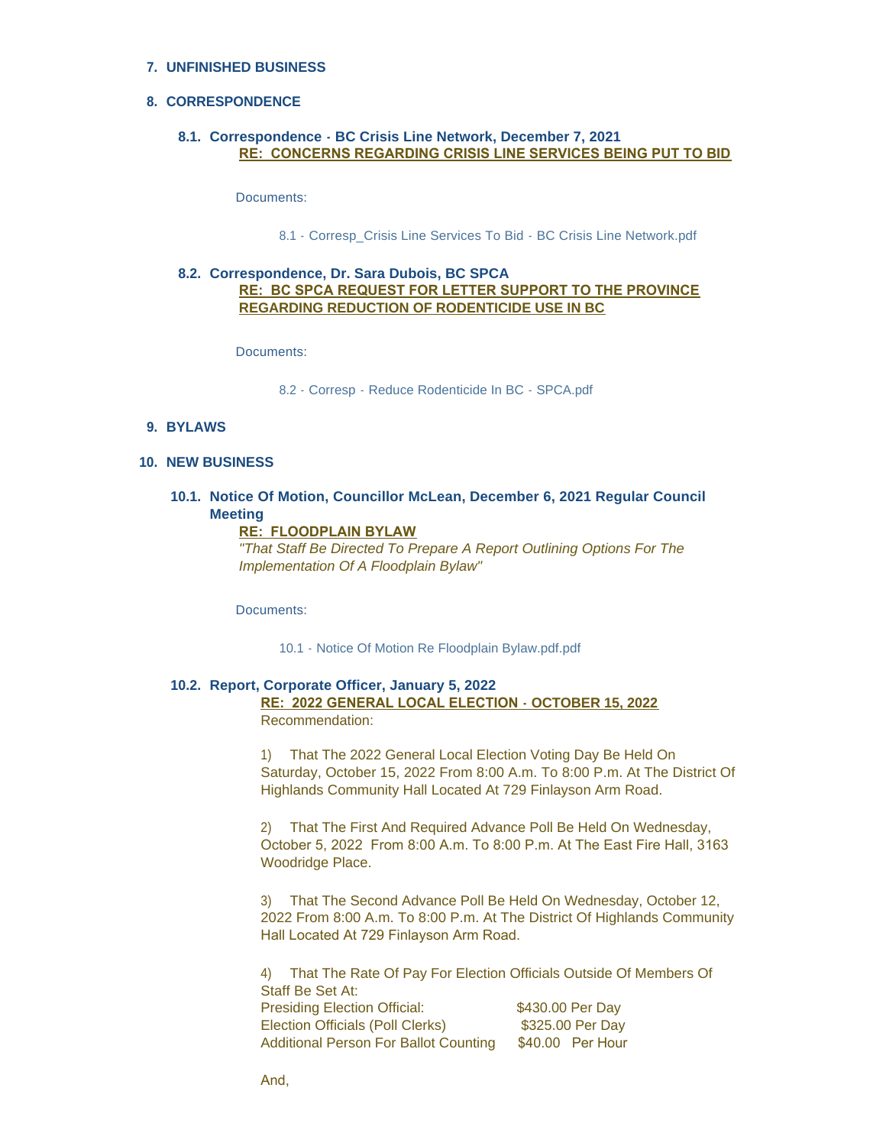# **UNFINISHED BUSINESS 7.**

### **CORRESPONDENCE 8.**

### **Correspondence - BC Crisis Line Network, December 7, 2021 8.1. RE: CONCERNS REGARDING CRISIS LINE SERVICES BEING PUT TO BID**

Documents:

[8.1 - Corresp\\_Crisis Line Services To Bid - BC Crisis Line Network.pdf](https://www.highlands.ca/AgendaCenter/ViewFile/Item/6855?fileID=6618)

# **Correspondence, Dr. Sara Dubois, BC SPCA 8.2. RE: BC SPCA REQUEST FOR LETTER SUPPORT TO THE PROVINCE REGARDING REDUCTION OF RODENTICIDE USE IN BC**

Documents:

[8.2 - Corresp - Reduce Rodenticide In BC - SPCA.pdf](https://www.highlands.ca/AgendaCenter/ViewFile/Item/6856?fileID=6619)

### **BYLAWS 9.**

**NEW BUSINESS 10.**

### **Notice Of Motion, Councillor McLean, December 6, 2021 Regular Council 10.1. Meeting**

#### **RE: FLOODPLAIN BYLAW**

*"That Staff Be Directed To Prepare A Report Outlining Options For The Implementation Of A Floodplain Bylaw"*

Documents:

[10.1 - Notice Of Motion Re Floodplain Bylaw.pdf.pdf](https://www.highlands.ca/AgendaCenter/ViewFile/Item/6857?fileID=6620)

#### **Report, Corporate Officer, January 5, 2022 10.2. RE: 2022 GENERAL LOCAL ELECTION - OCTOBER 15, 2022** Recommendation:

1) That The 2022 General Local Election Voting Day Be Held On Saturday, October 15, 2022 From 8:00 A.m. To 8:00 P.m. At The District Of Highlands Community Hall Located At 729 Finlayson Arm Road.

2) That The First And Required Advance Poll Be Held On Wednesday, October 5, 2022 From 8:00 A.m. To 8:00 P.m. At The East Fire Hall, 3163 Woodridge Place.

3) That The Second Advance Poll Be Held On Wednesday, October 12, 2022 From 8:00 A.m. To 8:00 P.m. At The District Of Highlands Community Hall Located At 729 Finlayson Arm Road.

4) That The Rate Of Pay For Election Officials Outside Of Members Of Staff Be Set At: Presiding Election Official: \$430.00 Per Day Election Officials (Poll Clerks) \$325.00 Per Day Additional Person For Ballot Counting \$40.00 Per Hour

And,